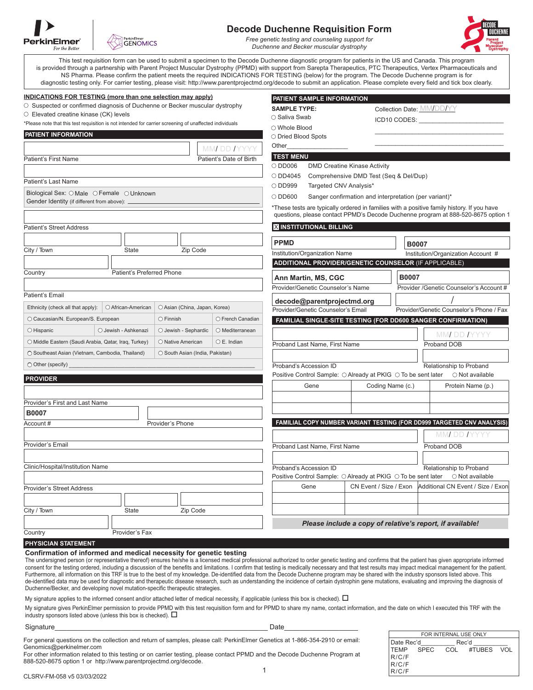| <b>PerkinElmer</b><br>For the Better |
|--------------------------------------|



## **Decode Duchenne Requisition Form**

*Free genetic testing and counseling support for Duchenne and Becker muscular dystrophy*

**SAMPLE TYPE:**

 $\bigcirc$  Saliva Swab

 **PATIENT SAMPLE INFORMATION**

ICD10 CODES:

Collection Date: MM/DD/YY



This test requisition form can be used to submit a specimen to the Decode Duchenne diagnostic program for patients in the US and Canada. This program is provided through a partnership with Parent Project Muscular Dystrophy (PPMD) with support from Sarepta Therapeutics, PTC Therapeutics, Vertex Pharmaceuticals and NS Pharma. Please confirm the patient meets the required INDICATIONS FOR TESTING (below) for the program. The Decode Duchenne program is for diagnostic testing only. For carrier testing, please visit: http://www.parentprojectmd.org/decode to submit an application. Please complete every field and tick box clearly.

#### **INDICATIONS FOR TESTING (more than one selection may apply)**

O Suspected or confirmed diagnosis of Duchenne or Becker muscular dystrophy

Elevated creatine kinase (CK) levels

\*Please note that this test requisition is not intended for carrier screening of unaffected individuals

| Please note that this test requisition is not intended for carrier screening or unallected individuals |                         | ○ Whole Blood                                                   |                                              |                                                               |                                          |                                                                                                                                                                                 |
|--------------------------------------------------------------------------------------------------------|-------------------------|-----------------------------------------------------------------|----------------------------------------------|---------------------------------------------------------------|------------------------------------------|---------------------------------------------------------------------------------------------------------------------------------------------------------------------------------|
| PATIENT INFORMATION                                                                                    |                         | O Dried Blood Spots                                             |                                              |                                                               |                                          |                                                                                                                                                                                 |
|                                                                                                        | MMI DD IYYYY            | Other                                                           |                                              |                                                               |                                          |                                                                                                                                                                                 |
| <b>Patient's First Name</b>                                                                            | Patient's Date of Birth | <b>TEST MENU</b>                                                |                                              |                                                               |                                          |                                                                                                                                                                                 |
|                                                                                                        |                         | $\bigcirc$ DD006                                                | <b>DMD Creatine Kinase Activity</b>          |                                                               |                                          |                                                                                                                                                                                 |
| Patient's Last Name                                                                                    |                         | O DD4045                                                        |                                              | Comprehensive DMD Test (Seq & Del/Dup)                        |                                          |                                                                                                                                                                                 |
|                                                                                                        |                         | O DD999<br>Targeted CNV Analysis*                               |                                              |                                                               |                                          |                                                                                                                                                                                 |
| Biological Sex: O Male O Female O Unknown<br>Gender Identity (if different from above):                |                         | ODD600<br>Sanger confirmation and interpretation (per variant)* |                                              |                                                               |                                          |                                                                                                                                                                                 |
|                                                                                                        |                         |                                                                 |                                              |                                                               |                                          | *These tests are typically ordered in families with a positive family history. If you have<br>questions, please contact PPMD's Decode Duchenne program at 888-520-8675 option 1 |
| <b>Patient's Street Address</b>                                                                        |                         |                                                                 | <b>X INSTITUTIONAL BILLING</b>               |                                                               |                                          |                                                                                                                                                                                 |
|                                                                                                        |                         | <b>PPMD</b>                                                     |                                              |                                                               | <b>B0007</b>                             |                                                                                                                                                                                 |
| Zip Code<br>City / Town<br><b>State</b>                                                                |                         |                                                                 | Institution/Organization Name                |                                                               |                                          | Institution/Organization Account #                                                                                                                                              |
|                                                                                                        |                         |                                                                 |                                              | <b>ADDITIONAL PROVIDER/GENETIC COUNSELOR (IF APPLICABLE)</b>  |                                          |                                                                                                                                                                                 |
| Patient's Preferred Phone<br>Country                                                                   |                         |                                                                 | Ann Martin, MS, CGC                          |                                                               | B0007                                    |                                                                                                                                                                                 |
|                                                                                                        |                         |                                                                 | Provider/Genetic Counselor's Name            |                                                               |                                          | Provider /Genetic Counselor's Account #                                                                                                                                         |
| <b>Patient's Email</b>                                                                                 |                         |                                                                 | decode@parentprojectmd.org                   |                                                               |                                          |                                                                                                                                                                                 |
| Ethnicity (check all that apply):<br>○ African-American<br>O Asian (China, Japan, Korea)               |                         | Provider/Genetic Counselor's Email                              |                                              |                                                               | Provider/Genetic Counselor's Phone / Fax |                                                                                                                                                                                 |
| O Caucasian/N. European/S. European<br>$\bigcirc$ Finnish                                              | O French Canadian       |                                                                 |                                              |                                                               |                                          | FAMILIAL SINGLE-SITE TESTING (FOR DD600 SANGER CONFIRMATION)                                                                                                                    |
| O Hispanic<br>O Jewish - Ashkenazi<br>○ Jewish - Sephardic                                             | O Mediterranean         |                                                                 |                                              |                                                               |                                          | MMI DD IYYYY                                                                                                                                                                    |
| O Middle Eastern (Saudi Arabia, Qatar, Iraq, Turkey)<br>○ Native American                              | $\circ$ E. Indian       |                                                                 | Proband DOB<br>Proband Last Name, First Name |                                                               |                                          |                                                                                                                                                                                 |
| O Southeast Asian (Vietnam, Cambodia, Thailand)<br>O South Asian (India, Pakistan)                     |                         |                                                                 |                                              |                                                               |                                          |                                                                                                                                                                                 |
| ◯ Other (specify)                                                                                      |                         |                                                                 | Proband's Accession ID                       |                                                               |                                          | Relationship to Proband                                                                                                                                                         |
| <b>PROVIDER</b>                                                                                        |                         |                                                                 |                                              | Positive Control Sample: ○ Already at PKIG ○ To be sent later |                                          | $\bigcirc$ Not available                                                                                                                                                        |
|                                                                                                        |                         |                                                                 | Gene                                         | Coding Name (c.)                                              |                                          | Protein Name (p.)                                                                                                                                                               |
|                                                                                                        |                         |                                                                 |                                              |                                                               |                                          |                                                                                                                                                                                 |
| Provider's First and Last Name<br><b>B0007</b>                                                         |                         |                                                                 |                                              |                                                               |                                          |                                                                                                                                                                                 |
| Provider's Phone<br>Account#                                                                           |                         |                                                                 |                                              |                                                               |                                          | FAMILIAL COPY NUMBER VARIANT TESTING (FOR DD999 TARGETED CNV ANALYSIS)                                                                                                          |
|                                                                                                        |                         |                                                                 |                                              |                                                               |                                          | MM DD IYYYY                                                                                                                                                                     |
| Provider's Email                                                                                       |                         | Proband Last Name, First Name<br>Proband DOB                    |                                              |                                                               |                                          |                                                                                                                                                                                 |
|                                                                                                        |                         |                                                                 |                                              |                                                               |                                          |                                                                                                                                                                                 |
| Clinic/Hospital/Institution Name                                                                       |                         |                                                                 | Proband's Accession ID                       |                                                               |                                          | Relationship to Proband                                                                                                                                                         |
|                                                                                                        |                         |                                                                 |                                              |                                                               |                                          | Positive Control Sample: ○ Already at PKIG ○ To be sent later ○ Not available                                                                                                   |
| <b>Provider's Street Address</b>                                                                       |                         |                                                                 | Gene                                         | CN Event / Size / Exon                                        |                                          | Additional CN Event / Size / Exon                                                                                                                                               |
|                                                                                                        |                         |                                                                 |                                              |                                                               |                                          |                                                                                                                                                                                 |
| City / Town<br>Zip Code<br><b>State</b>                                                                |                         |                                                                 |                                              |                                                               |                                          |                                                                                                                                                                                 |
|                                                                                                        |                         |                                                                 |                                              |                                                               |                                          | Please include a copy of relative's report, if available!                                                                                                                       |
| Country<br>Provider's Fax                                                                              |                         |                                                                 |                                              |                                                               |                                          |                                                                                                                                                                                 |

### **PHYSICIAN STATEMENT**

## **Confirmation of informed and medical necessity for genetic testing**

The undersigned person (or representative thereof) ensures he/she is a licensed medical professional authorized to order genetic testing and confirms that the patient has given appropriate informed consent for the testing ordered, including a discussion of the benefits and limitations. I confirm that testing is medically necessary and that test results may impact medical management for the patient. Furthermore, all information on this TRF is true to the best of my knowledge. De-identified data from the Decode Duchenne program may be shared with the industry sponsors listed above. This de-identified data may be used for diagnostic and therapeutic disease research, such as understanding the incidence of certain dystrophin gene mutations, evaluating and improving the diagnosis of Duchenne/Becker, and developing novel mutation-specific therapeutic strategies.

My signature applies to the informed consent and/or attached letter of medical necessity, if applicable (unless this box is checked).  $\Box$ 

My signature gives PerkinElmer permission to provide PPMD with this test requisition form and for PPMD to share my name, contact information, and the date on which I executed this TRF with the industry sponsors listed above (unless this box is checked).  $\Box$ 

Signature\_\_\_\_\_\_\_\_\_\_\_\_\_\_\_\_\_\_\_\_\_\_\_\_\_\_\_\_\_\_\_\_\_\_\_\_\_\_\_\_\_\_\_\_\_\_\_\_\_\_\_\_\_\_\_ Date\_\_\_\_\_\_\_\_\_\_\_\_\_\_\_\_\_\_\_

For general questions on the collection and return of samples, please call: PerkinElmer Genetics at 1-866-354-2910 or email: Genomics@perkinelmer.com

FOR INTERNAL USE ONLY Date Rec'd Rec'd TEMP SPEC COL #TUBES VOL R/C/F R/C/F R/C/F

1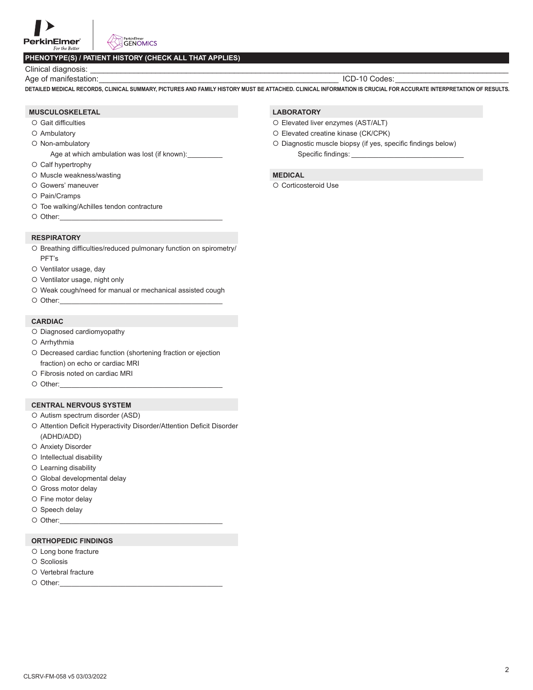## **PHENOTYPE(S) / PATIENT HISTORY (CHECK ALL THAT APPLIES)**

Clinical diagnosis:

Age of manifestation:\_\_\_\_\_\_\_\_\_\_\_\_\_\_\_\_\_\_\_\_\_\_\_\_\_\_\_\_\_\_\_\_\_\_\_\_\_\_\_\_\_\_\_\_\_\_\_\_\_\_\_\_\_\_\_ ICD-10 Codes:\_\_\_\_\_\_\_\_\_\_\_\_\_\_\_\_\_\_\_\_\_\_\_\_\_\_

**DETAILED MEDICAL RECORDS, CLINICAL SUMMARY, PICTURES AND FAMILY HISTORY MUST BE ATTACHED. CLINICAL INFORMATION IS CRUCIAL FOR ACCURATE INTERPRETATION OF RESULTS.**

### **MUSCULOSKELETAL**

- O Gait difficulties
- Ambulatory
- O Non-ambulatory

Age at which ambulation was lost (if known):

- Calf hypertrophy
- O Muscle weakness/wasting
- O Gowers' maneuver
- O Pain/Cramps
- O Toe walking/Achilles tendon contracture
- $\circ$  Other:

### **RESPIRATORY**

- O Breathing difficulties/reduced pulmonary function on spirometry/ PFT's
- O Ventilator usage, day
- O Ventilator usage, night only
- Weak cough/need for manual or mechanical assisted cough
- $\circ$  Other:

## **CARDIAC**

- O Diagnosed cardiomyopathy
- Arrhythmia
- O Decreased cardiac function (shortening fraction or ejection fraction) on echo or cardiac MRI
- Fibrosis noted on cardiac MRI
- $\circ$  Other:

## **CENTRAL NERVOUS SYSTEM**

- O Autism spectrum disorder (ASD)
- O Attention Deficit Hyperactivity Disorder/Attention Deficit Disorder (ADHD/ADD)
- O Anxiety Disorder
- $O$  Intellectual disability
- Learning disability
- Global developmental delay
- O Gross motor delay
- O Fine motor delay
- O Speech delay
- $\circ$  Other:

## **ORTHOPEDIC FINDINGS**

- O Long bone fracture
- O Scoliosis
- O Vertebral fracture
- $\circ$  Other:

## **LABORATORY**

- O Elevated liver enzymes (AST/ALT)
- Elevated creatine kinase (CK/CPK)
- Diagnostic muscle biopsy (if yes, specific findings below) Specific findings:

## **MEDICAL**

O Corticosteroid Use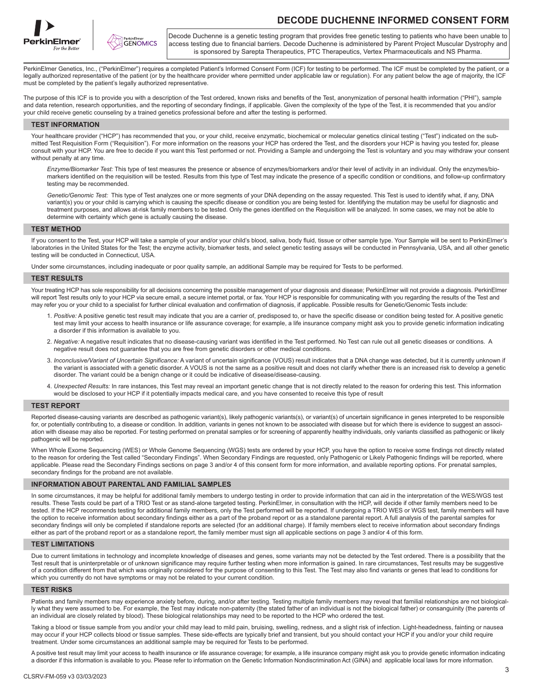



# **DECODE DUCHENNE INFORMED CONSENT FORM**

Decode Duchenne is a genetic testing program that provides free genetic testing to patients who have been unable to access testing due to financial barriers. Decode Duchenne is administered by Parent Project Muscular Dystrophy and is sponsored by Sarepta Therapeutics, PTC Therapeutics, Vertex Pharmaceuticals and NS Pharma.

PerkinElmer Genetics, Inc., ("PerkinElmer") requires a completed Patient's Informed Consent Form (ICF) for testing to be performed. The ICF must be completed by the patient, or a legally authorized representative of the patient (or by the healthcare provider where permitted under applicable law or regulation). For any patient below the age of majority, the ICF must be completed by the patient's legally authorized representative.

The purpose of this ICF is to provide you with a description of the Test ordered, known risks and benefits of the Test, anonymization of personal health information ("PHI"), sample and data retention, research opportunities, and the reporting of secondary findings, if applicable. Given the complexity of the type of the Test, it is recommended that you and/or your child receive genetic counseling by a trained genetics professional before and after the testing is performed.

#### **TEST INFORMATION**

Your healthcare provider ("HCP") has recommended that you, or your child, receive enzymatic, biochemical or molecular genetics clinical testing ("Test") indicated on the submitted Test Requisition Form ("Requisition"). For more information on the reasons your HCP has ordered the Test, and the disorders your HCP is having you tested for, please consult with your HCP. You are free to decide if you want this Test performed or not. Providing a Sample and undergoing the Test is voluntary and you may withdraw your consent without penalty at any time.

 *Enzyme/Biomarker Test:* This type of test measures the presence or absence of enzymes/biomarkers and/or their level of activity in an individual. Only the enzymes/biomarkers identified on the requisition will be tested. Results from this type of Test may indicate the presence of a specific condition or conditions, and follow-up confirmatory testing may be recommended.

 *Genetic/Genomic Test:* This type of Test analyzes one or more segments of your DNA depending on the assay requested. This Test is used to identify what, if any, DNA variant(s) you or your child is carrying which is causing the specific disease or condition you are being tested for. Identifying the mutation may be useful for diagnostic and treatment purposes, and allows at-risk family members to be tested. Only the genes identified on the Requisition will be analyzed. In some cases, we may not be able to determine with certainty which gene is actually causing the disease.

### **TEST METHOD**

If you consent to the Test, your HCP will take a sample of your and/or your child's blood, saliva, body fluid, tissue or other sample type. Your Sample will be sent to PerkinElmer's laboratories in the United States for the Test; the enzyme activity, biomarker tests, and select genetic testing assays will be conducted in Pennsylvania, USA, and all other genetic testing will be conducted in Connecticut, USA.

Under some circumstances, including inadequate or poor quality sample, an additional Sample may be required for Tests to be performed.

#### **TEST RESULTS**

Your treating HCP has sole responsibility for all decisions concerning the possible management of your diagnosis and disease; PerkinElmer will not provide a diagnosis. PerkinElmer will report Test results only to your HCP via secure email, a secure internet portal, or fax. Your HCP is responsible for communicating with you regarding the results of the Test and may refer you or your child to a specialist for further clinical evaluation and confirmation of diagnosis, if applicable. Possible results for Genetic/Genomic Tests include:

- 1. *Positive:* A positive genetic test result may indicate that you are a carrier of, predisposed to, or have the specific disease or condition being tested for. A positive genetic test may limit your access to health insurance or life assurance coverage; for example, a life insurance company might ask you to provide genetic information indicating a disorder if this information is available to you.
- 2. *Negative:* A negative result indicates that no disease-causing variant was identified in the Test performed. No Test can rule out all genetic diseases or conditions. A negative result does not guarantee that you are free from genetic disorders or other medical conditions.
- 3. *Inconclusive/Variant of Uncertain Significance:* A variant of uncertain significance (VOUS) result indicates that a DNA change was detected, but it is currently unknown if the variant is associated with a genetic disorder. A VOUS is not the same as a positive result and does not clarify whether there is an increased risk to develop a genetic disorder. The variant could be a benign change or it could be indicative of disease/disease-causing.
- 4. *Unexpected Results:* In rare instances, this Test may reveal an important genetic change that is not directly related to the reason for ordering this test. This information would be disclosed to your HCP if it potentially impacts medical care, and you have consented to receive this type of result

### **TEST REPORT**

Reported disease-causing variants are described as pathogenic variant(s), likely pathogenic variant(s), or variant(s) of uncertain significance in genes interpreted to be responsible for, or potentially contributing to, a disease or condition. In addition, variants in genes not known to be associated with disease but for which there is evidence to suggest an association with disease may also be reported. For testing performed on prenatal samples or for screening of apparently healthy individuals, only variants classified as pathogenic or likely pathogenic will be reported.

When Whole Exome Sequencing (WES) or Whole Genome Sequencing (WGS) tests are ordered by your HCP, you have the option to receive some findings not directly related to the reason for ordering the Test called "Secondary Findings". When Secondary Findings are requested, only Pathogenic or Likely Pathogenic findings will be reported, where applicable. Please read the Secondary Findings sections on page 3 and/or 4 of this consent form for more information, and available reporting options. For prenatal samples, secondary findings for the proband are not available.

#### **INFORMATION ABOUT PARENTAL AND FAMILIAL SAMPLES**

In some circumstances, it may be helpful for additional family members to undergo testing in order to provide information that can aid in the interpretation of the WES/WGS test results. These Tests could be part of a TRIO Test or as stand-alone targeted testing. PerkinElmer, in consultation with the HCP, will decide if other family members need to be tested. If the HCP recommends testing for additional family members, only the Test performed will be reported. If undergoing a TRIO WES or WGS test, family members will have the option to receive information about secondary findings either as a part of the proband report or as a standalone parental report. A full analysis of the parental samples for secondary findings will only be completed if standalone reports are selected (for an additional charge). If family members elect to receive information about secondary findings either as part of the proband report or as a standalone report, the family member must sign all applicable sections on page 3 and/or 4 of this form.

#### **TEST LIMITATIONS**

Due to current limitations in technology and incomplete knowledge of diseases and genes, some variants may not be detected by the Test ordered. There is a possibility that the Test result that is uninterpretable or of unknown significance may require further testing when more information is gained. In rare circumstances, Test results may be suggestive of a condition different from that which was originally considered for the purpose of consenting to this Test. The Test may also find variants or genes that lead to conditions for which you currently do not have symptoms or may not be related to your current condition.

#### **TEST RISKS**

Patients and family members may experience anxiety before, during, and/or after testing. Testing multiple family members may reveal that familial relationships are not biologically what they were assumed to be. For example, the Test may indicate non-paternity (the stated father of an individual is not the biological father) or consanguinity (the parents of an individual are closely related by blood). These biological relationships may need to be reported to the HCP who ordered the test.

Taking a blood or tissue sample from you and/or your child may lead to mild pain, bruising, swelling, redness, and a slight risk of infection. Light-headedness, fainting or nausea may occur if your HCP collects blood or tissue samples. These side-effects are typically brief and transient, but you should contact your HCP if you and/or your child require treatment. Under some circumstances an additional sample may be required for Tests to be performed.

A positive test result may limit your access to health insurance or life assurance coverage; for example, a life insurance company might ask you to provide genetic information indicating a disorder if this information is available to you. Please refer to information on the Genetic Information Nondiscrimination Act (GINA) and applicable local laws for more information.